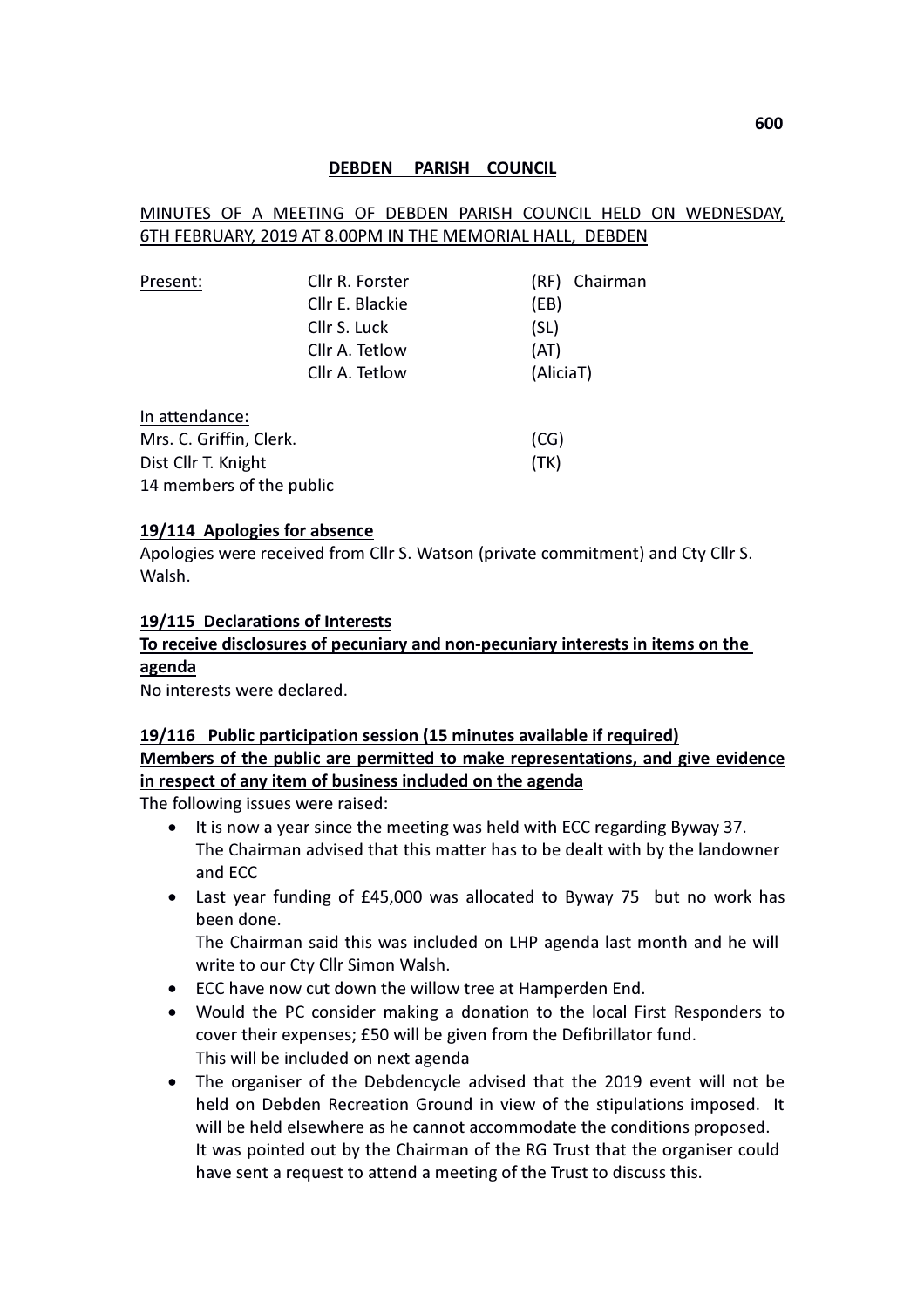## DEBDEN PARISH COUNCIL

## MINUTES OF A MEETING OF DEBDEN PARISH COUNCIL HELD ON WEDNESDAY, 6TH FEBRUARY, 2019 AT 8.00PM IN THE MEMORIAL HALL, DEBDEN

| Present:                 | Cllr R. Forster |           | (RF) Chairman |
|--------------------------|-----------------|-----------|---------------|
|                          | Cllr E. Blackie | (EB)      |               |
|                          | Cllr S. Luck    | (SL)      |               |
|                          | Cllr A. Tetlow  | (AT)      |               |
|                          | Cllr A. Tetlow  | (AliciaT) |               |
| In attendance:           |                 |           |               |
| Mrs. C. Griffin, Clerk.  |                 | (CG)      |               |
| Dist Cllr T. Knight      |                 | (TK)      |               |
| 14 members of the public |                 |           |               |

#### 19/114 Apologies for absence

Apologies were received from Cllr S. Watson (private commitment) and Cty Cllr S. Walsh.

## 19/115 Declarations of Interests

# To receive disclosures of pecuniary and non-pecuniary interests in items on the

# agenda

No interests were declared.

# 19/116 Public participation session (15 minutes available if required) Members of the public are permitted to make representations, and give evidence in respect of any item of business included on the agenda

The following issues were raised:

- It is now a year since the meeting was held with ECC regarding Byway 37. The Chairman advised that this matter has to be dealt with by the landowner and ECC
- Last year funding of £45,000 was allocated to Byway 75 but no work has been done.

The Chairman said this was included on LHP agenda last month and he will write to our Cty Cllr Simon Walsh.

- ECC have now cut down the willow tree at Hamperden End.
- Would the PC consider making a donation to the local First Responders to cover their expenses; £50 will be given from the Defibrillator fund. This will be included on next agenda
- The organiser of the Debdencycle advised that the 2019 event will not be held on Debden Recreation Ground in view of the stipulations imposed. It will be held elsewhere as he cannot accommodate the conditions proposed. It was pointed out by the Chairman of the RG Trust that the organiser could have sent a request to attend a meeting of the Trust to discuss this.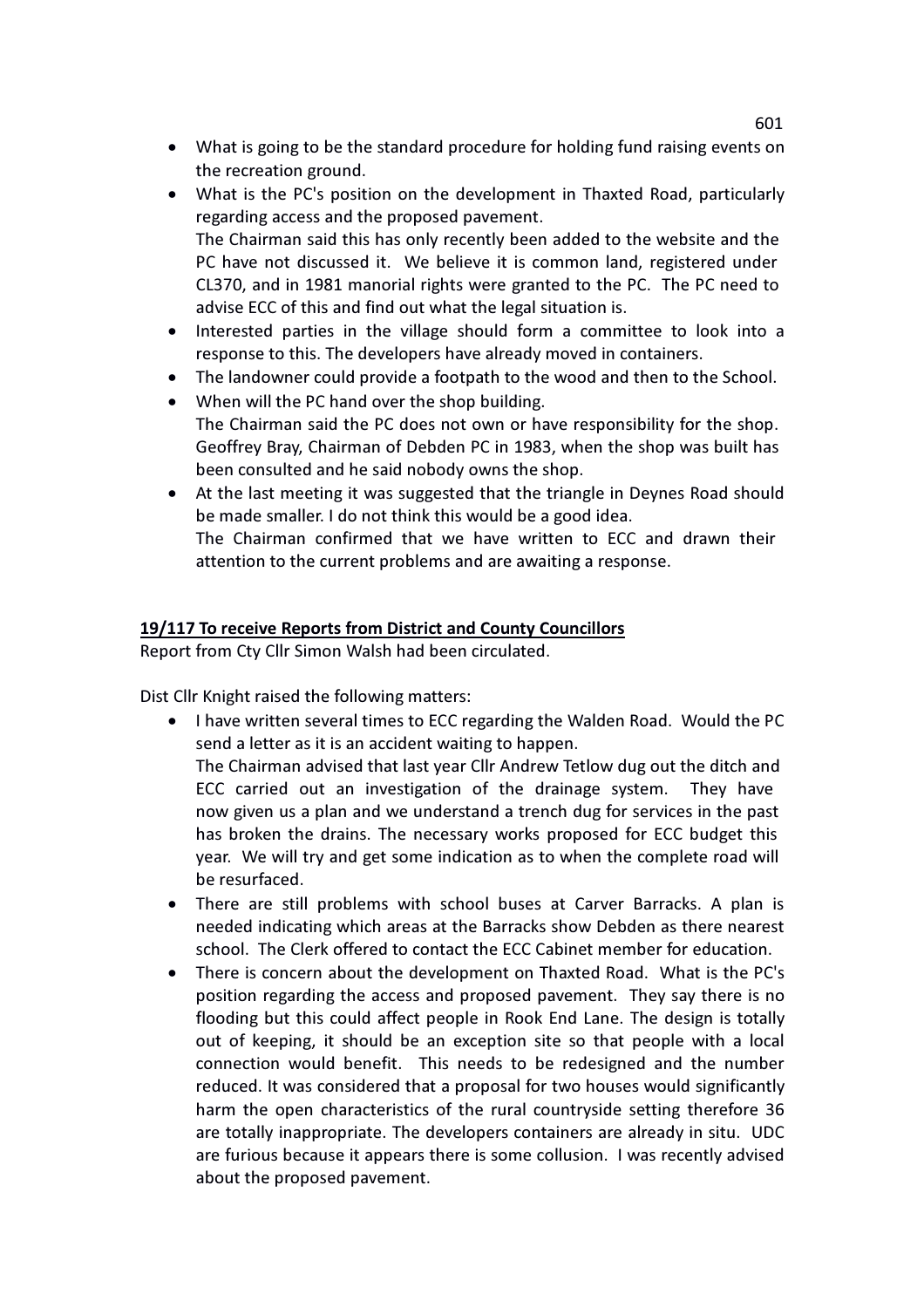- What is going to be the standard procedure for holding fund raising events on the recreation ground.
- What is the PC's position on the development in Thaxted Road, particularly regarding access and the proposed pavement. The Chairman said this has only recently been added to the website and the PC have not discussed it. We believe it is common land, registered under CL370, and in 1981 manorial rights were granted to the PC. The PC need to advise ECC of this and find out what the legal situation is.
- Interested parties in the village should form a committee to look into a response to this. The developers have already moved in containers.
- The landowner could provide a footpath to the wood and then to the School.
- When will the PC hand over the shop building.
- The Chairman said the PC does not own or have responsibility for the shop. Geoffrey Bray, Chairman of Debden PC in 1983, when the shop was built has been consulted and he said nobody owns the shop.
- At the last meeting it was suggested that the triangle in Deynes Road should be made smaller. I do not think this would be a good idea. The Chairman confirmed that we have written to ECC and drawn their attention to the current problems and are awaiting a response.

# 19/117 To receive Reports from District and County Councillors

Report from Cty Cllr Simon Walsh had been circulated.

Dist Cllr Knight raised the following matters:

• I have written several times to ECC regarding the Walden Road. Would the PC send a letter as it is an accident waiting to happen.

The Chairman advised that last year Cllr Andrew Tetlow dug out the ditch and ECC carried out an investigation of the drainage system. They have now given us a plan and we understand a trench dug for services in the past has broken the drains. The necessary works proposed for ECC budget this year. We will try and get some indication as to when the complete road will be resurfaced.

- There are still problems with school buses at Carver Barracks. A plan is needed indicating which areas at the Barracks show Debden as there nearest school. The Clerk offered to contact the ECC Cabinet member for education.
- There is concern about the development on Thaxted Road. What is the PC's position regarding the access and proposed pavement. They say there is no flooding but this could affect people in Rook End Lane. The design is totally out of keeping, it should be an exception site so that people with a local connection would benefit. This needs to be redesigned and the number reduced. It was considered that a proposal for two houses would significantly harm the open characteristics of the rural countryside setting therefore 36 are totally inappropriate. The developers containers are already in situ. UDC are furious because it appears there is some collusion. I was recently advised about the proposed pavement.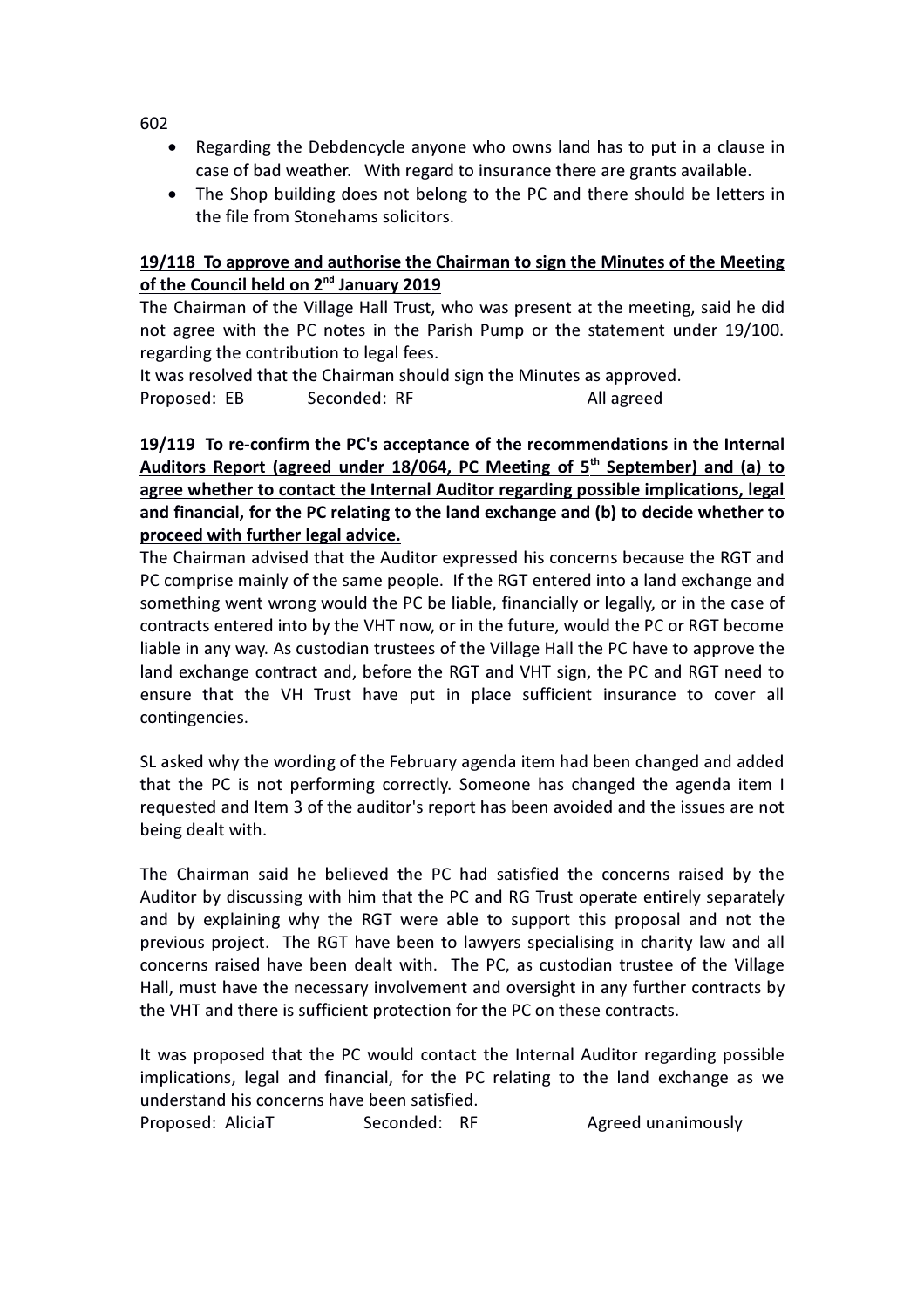- Regarding the Debdencycle anyone who owns land has to put in a clause in case of bad weather. With regard to insurance there are grants available.
- The Shop building does not belong to the PC and there should be letters in the file from Stonehams solicitors.

# 19/118 To approve and authorise the Chairman to sign the Minutes of the Meeting of the Council held on 2<sup>nd</sup> January 2019

The Chairman of the Village Hall Trust, who was present at the meeting, said he did not agree with the PC notes in the Parish Pump or the statement under 19/100. regarding the contribution to legal fees.

It was resolved that the Chairman should sign the Minutes as approved. Proposed: EB Seconded: RF All agreed

# 19/119 To re-confirm the PC's acceptance of the recommendations in the Internal Auditors Report (agreed under 18/064, PC Meeting of 5<sup>th</sup> September) and (a) to agree whether to contact the Internal Auditor regarding possible implications, legal and financial, for the PC relating to the land exchange and (b) to decide whether to proceed with further legal advice.

The Chairman advised that the Auditor expressed his concerns because the RGT and PC comprise mainly of the same people. If the RGT entered into a land exchange and something went wrong would the PC be liable, financially or legally, or in the case of contracts entered into by the VHT now, or in the future, would the PC or RGT become liable in any way. As custodian trustees of the Village Hall the PC have to approve the land exchange contract and, before the RGT and VHT sign, the PC and RGT need to ensure that the VH Trust have put in place sufficient insurance to cover all contingencies.

SL asked why the wording of the February agenda item had been changed and added that the PC is not performing correctly. Someone has changed the agenda item I requested and Item 3 of the auditor's report has been avoided and the issues are not being dealt with.

The Chairman said he believed the PC had satisfied the concerns raised by the Auditor by discussing with him that the PC and RG Trust operate entirely separately and by explaining why the RGT were able to support this proposal and not the previous project. The RGT have been to lawyers specialising in charity law and all concerns raised have been dealt with. The PC, as custodian trustee of the Village Hall, must have the necessary involvement and oversight in any further contracts by the VHT and there is sufficient protection for the PC on these contracts.

It was proposed that the PC would contact the Internal Auditor regarding possible implications, legal and financial, for the PC relating to the land exchange as we understand his concerns have been satisfied.

Proposed: AliciaT Seconded: RF Agreed unanimously

602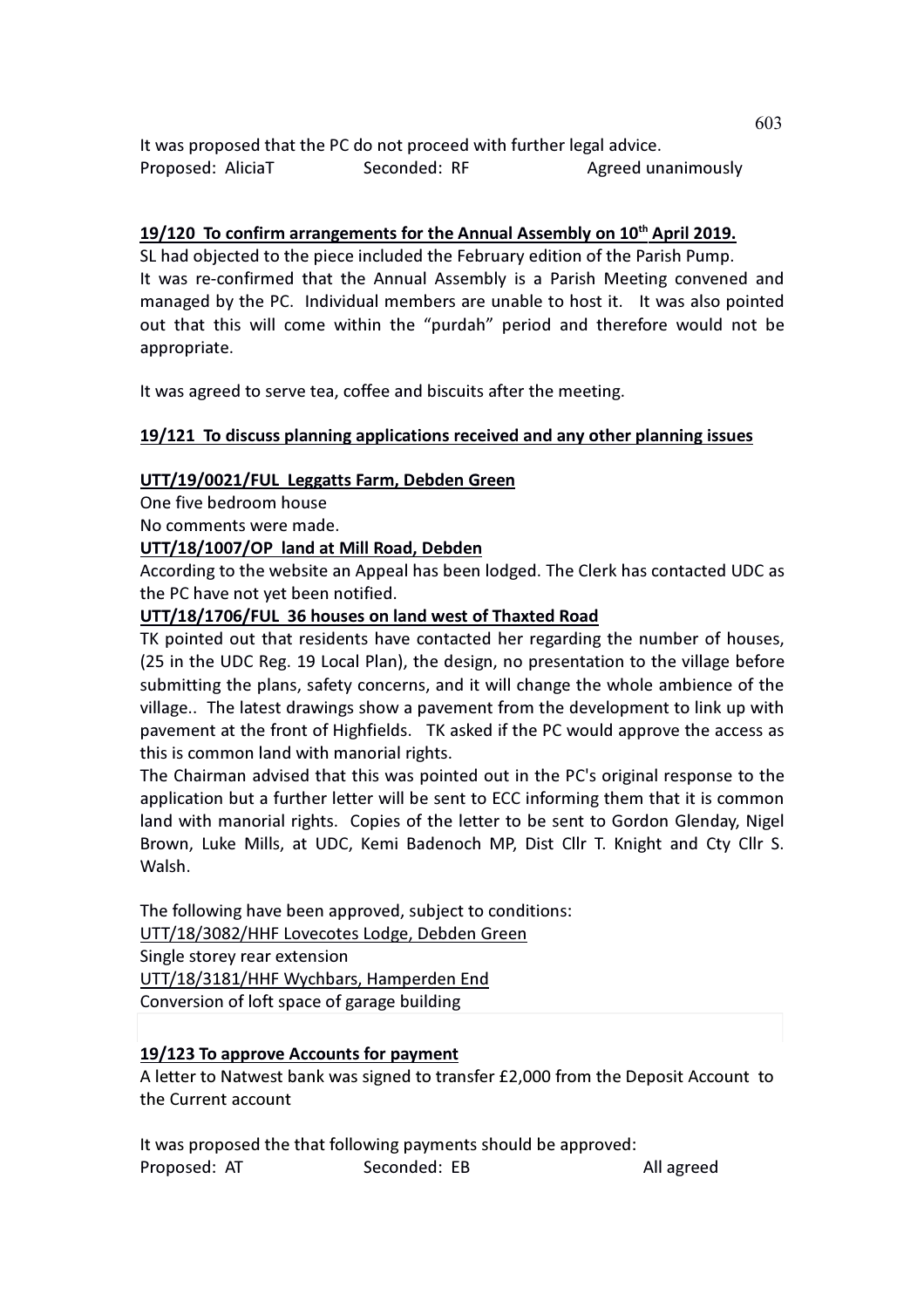It was proposed that the PC do not proceed with further legal advice. Proposed: AliciaT Seconded: RF Agreed unanimously

# 19/120 To confirm arrangements for the Annual Assembly on 10<sup>th</sup> April 2019.

SL had objected to the piece included the February edition of the Parish Pump. It was re-confirmed that the Annual Assembly is a Parish Meeting convened and managed by the PC. Individual members are unable to host it. It was also pointed out that this will come within the "purdah" period and therefore would not be appropriate.

It was agreed to serve tea, coffee and biscuits after the meeting.

## 19/121 To discuss planning applications received and any other planning issues

#### UTT/19/0021/FUL Leggatts Farm, Debden Green

One five bedroom house

No comments were made.

## UTT/18/1007/OP land at Mill Road, Debden

According to the website an Appeal has been lodged. The Clerk has contacted UDC as the PC have not yet been notified.

#### UTT/18/1706/FUL 36 houses on land west of Thaxted Road

TK pointed out that residents have contacted her regarding the number of houses, (25 in the UDC Reg. 19 Local Plan), the design, no presentation to the village before submitting the plans, safety concerns, and it will change the whole ambience of the village.. The latest drawings show a pavement from the development to link up with pavement at the front of Highfields. TK asked if the PC would approve the access as this is common land with manorial rights.

The Chairman advised that this was pointed out in the PC's original response to the application but a further letter will be sent to ECC informing them that it is common land with manorial rights. Copies of the letter to be sent to Gordon Glenday, Nigel Brown, Luke Mills, at UDC, Kemi Badenoch MP, Dist Cllr T. Knight and Cty Cllr S. Walsh.

The following have been approved, subject to conditions: UTT/18/3082/HHF Lovecotes Lodge, Debden Green Single storey rear extension UTT/18/3181/HHF Wychbars, Hamperden End Conversion of loft space of garage building

## 19/123 To approve Accounts for payment

A letter to Natwest bank was signed to transfer £2,000 from the Deposit Account to the Current account

It was proposed the that following payments should be approved: Proposed: AT Seconded: EB All agreed 603